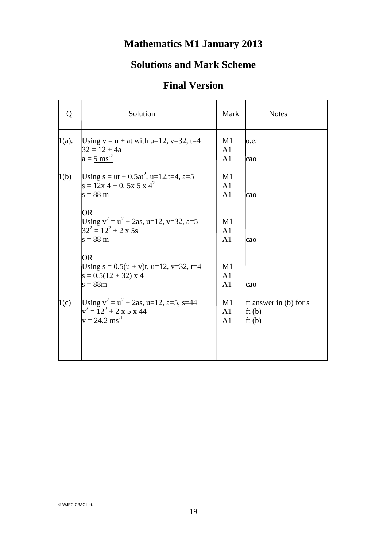## **Mathematics M1 January 2013**

## **Solutions and Mark Scheme**

## **Final Version**

| Q        | Solution                                                                                                        | Mark                                   | <b>Notes</b>                                        |
|----------|-----------------------------------------------------------------------------------------------------------------|----------------------------------------|-----------------------------------------------------|
| $1(a)$ . | Using $v = u + at$ with $u=12$ , $v=32$ , $t=4$<br>$32 = 12 + 4a$<br>$a = 5$ ms <sup>-2</sup>                   | M1<br>A <sub>1</sub><br>A <sub>1</sub> | o.e.<br>cao                                         |
| 1(b)     | Using $s = ut + 0.5at^2$ , $u=12, t=4$ , $a=5$<br>$s = 12x 4 + 0.5x 5x 4^2$<br>$s = 88$ m                       | M1<br>A1<br>A <sub>1</sub>             | lcao                                                |
|          | OR<br>Using $v^2 = u^2 + 2as$ , u=12, v=32, a=5<br>$32^2 = 12^2 + 2 \times 5s$<br>$s = 88$ m                    | M1<br>A <sub>1</sub><br>A <sub>1</sub> | cao                                                 |
|          | OR<br>Using $s = 0.5(u + v)t$ , u=12, v=32, t=4<br>$s = 0.5(12 + 32) \times 4$<br>$s = 88m$                     | M1<br>A <sub>1</sub><br>A <sub>1</sub> | lcao                                                |
| 1(c)     | Using $v^2 = u^2 + 2as$ , u=12, a=5, s=44<br>$v^2 = 12^2 + 2 \times 5 \times 44$<br>$v = 24.2$ ms <sup>-1</sup> | M1<br>A1<br>A <sub>1</sub>             | Ift answer in (b) for s<br>$\mathbf{f}(b)$<br>ft(b) |
|          |                                                                                                                 |                                        |                                                     |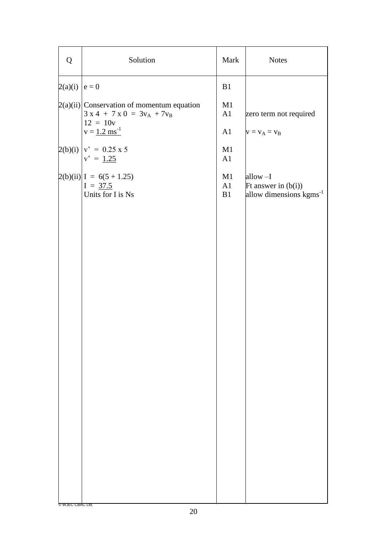| Q                   | Solution                                                                                  | Mark           | <b>Notes</b>                                                            |
|---------------------|-------------------------------------------------------------------------------------------|----------------|-------------------------------------------------------------------------|
| $2(a)(i)$   $e = 0$ |                                                                                           | B1             |                                                                         |
|                     | $2(a)(ii)$ Conservation of momentum equation<br>$3 x 4 + 7 x 0 = 3vA + 7vB$<br>$12 = 10v$ | M1<br>A1       | zero term not required                                                  |
|                     | $v = 1.2 \text{ ms}^{-1}$                                                                 | A1             | $v = v_A = v_B$                                                         |
|                     | $2(b)(i)  v' = 0.25 x 5$<br>$v' = 1.25$                                                   | M1<br>A1       |                                                                         |
|                     | $2(b)(ii)$ $I = 6(5 + 1.25)$<br>$I = 37.5$<br>Units for I is Ns                           | M1<br>A1<br>B1 | allow-I<br>Ft answer in $(b(i))$<br>allow dimensions kgms <sup>-1</sup> |
|                     |                                                                                           |                |                                                                         |
|                     |                                                                                           |                |                                                                         |
|                     |                                                                                           |                |                                                                         |
|                     |                                                                                           |                |                                                                         |
|                     |                                                                                           |                |                                                                         |
|                     |                                                                                           |                |                                                                         |
|                     |                                                                                           |                |                                                                         |
|                     |                                                                                           |                |                                                                         |
|                     |                                                                                           |                |                                                                         |
|                     |                                                                                           |                |                                                                         |
|                     |                                                                                           |                |                                                                         |
| © WJEC CBAC Ltd.    |                                                                                           |                |                                                                         |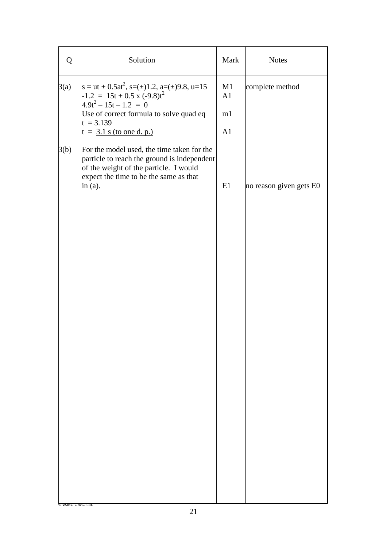| Q                | Solution                                                                                                                                                                                    | Mark     | <b>Notes</b>            |
|------------------|---------------------------------------------------------------------------------------------------------------------------------------------------------------------------------------------|----------|-------------------------|
| 3(a)             | s = ut + 0.5at <sup>2</sup> , s=(±)1.2, a=(±)9.8, u=15<br>-1.2 <sub>-</sub> = 15t + 0.5 x (-9.8)t <sup>2</sup><br>$4.9t^2 - 15t - 1.2 = 0$                                                  | M1<br>A1 | complete method         |
|                  | Use of correct formula to solve quad eq<br>$t = 3.139$                                                                                                                                      | m1       |                         |
|                  | $t = 3.1$ s (to one d. p.)                                                                                                                                                                  | A1       |                         |
| 3(b)             | For the model used, the time taken for the<br>particle to reach the ground is independent<br>of the weight of the particle. I would<br>expect the time to be the same as that<br>in $(a)$ . | E1       | no reason given gets E0 |
|                  |                                                                                                                                                                                             |          |                         |
|                  |                                                                                                                                                                                             |          |                         |
|                  |                                                                                                                                                                                             |          |                         |
|                  |                                                                                                                                                                                             |          |                         |
|                  |                                                                                                                                                                                             |          |                         |
|                  |                                                                                                                                                                                             |          |                         |
|                  |                                                                                                                                                                                             |          |                         |
| © WJEC CBAC Ltd. |                                                                                                                                                                                             |          |                         |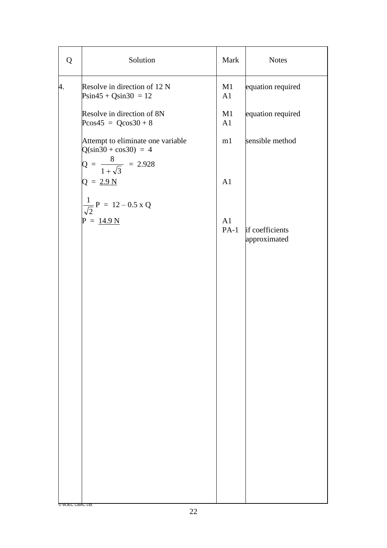| Q                | Solution                                                             | Mark         | <b>Notes</b>                    |
|------------------|----------------------------------------------------------------------|--------------|---------------------------------|
| 4.               | Resolve in direction of 12 N<br>$\text{Psin}45 + \text{Qsin}30 = 12$ | M1<br>A1     | equation required               |
|                  | Resolve in direction of 8N<br>$P\cos 45 = Q\cos 30 + 8$              | M1<br>A1     | equation required               |
|                  | Attempt to eliminate one variable<br>$Q(sin30 + cos30) = 4$          | m1           | sensible method                 |
|                  | $Q = \frac{8}{1 + \sqrt{3}} = 2.928$<br>$Q = 2.9 N$                  | A1           |                                 |
|                  | $\frac{1}{\sqrt{2}}P = 12 - 0.5 \times Q$                            |              |                                 |
|                  | $P = 14.9 N$                                                         | A1<br>$PA-1$ | if coefficients<br>approximated |
|                  |                                                                      |              |                                 |
|                  |                                                                      |              |                                 |
|                  |                                                                      |              |                                 |
|                  |                                                                      |              |                                 |
|                  |                                                                      |              |                                 |
|                  |                                                                      |              |                                 |
|                  |                                                                      |              |                                 |
|                  |                                                                      |              |                                 |
|                  |                                                                      |              |                                 |
| © WJEC CBAC Ltd. |                                                                      |              |                                 |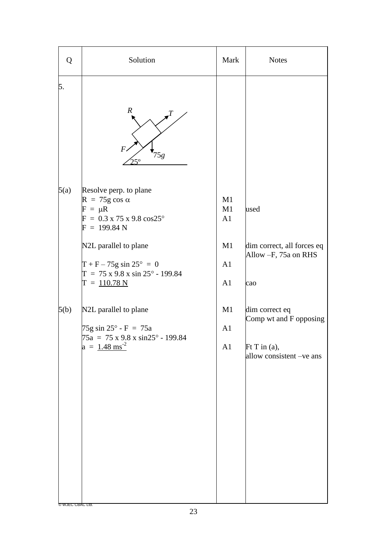| Q                                | Solution                                                                                                                                                                                                                                                                                                                                                                                                                    | Mark                                               | <b>Notes</b>                                                                                                                                                |
|----------------------------------|-----------------------------------------------------------------------------------------------------------------------------------------------------------------------------------------------------------------------------------------------------------------------------------------------------------------------------------------------------------------------------------------------------------------------------|----------------------------------------------------|-------------------------------------------------------------------------------------------------------------------------------------------------------------|
| 5.                               | $\boldsymbol{R}$<br>$\overline{F}$<br>75g<br>$25^\circ$                                                                                                                                                                                                                                                                                                                                                                     |                                                    |                                                                                                                                                             |
| 5(a)<br>5(b)<br>© WJEC CBAC Ltd. | Resolve perp. to plane<br>$R = 75g \cos \alpha$<br>$F = \mu R$<br>$F = 0.3 \times 75 \times 9.8 \cos 25^{\circ}$<br>$F = 199.84 N$<br>N2L parallel to plane<br>$T + F - 75g \sin 25^{\circ} = 0$<br>$T = 75 \times 9.8 \times \sin 25^{\circ} - 199.84$<br>$T = 110.78 N$<br>N2L parallel to plane<br>$75g \sin 25^\circ - F = 75a$<br>$75a = 75 \times 9.8 \times \sin 25^{\circ} - 199.84$<br>$a = 1.48$ ms <sup>-2</sup> | M1<br>M1<br>A1<br>M1<br>A1<br>A1<br>M1<br>A1<br>A1 | used<br>dim correct, all forces eq<br>Allow -F, 75a on RHS<br>cao<br>dim correct eq<br>Comp wt and F opposing<br>$Ft$ T in (a),<br>allow consistent -ve ans |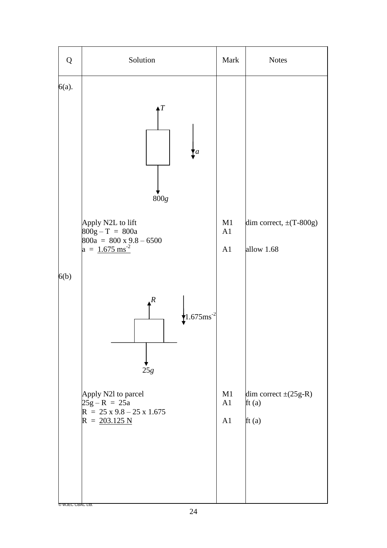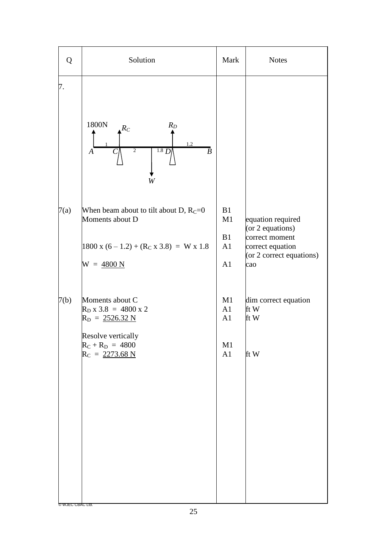| Q                        | Solution                                                                                                                                                                    | Mark                       | <b>Notes</b>                                                                                                     |
|--------------------------|-----------------------------------------------------------------------------------------------------------------------------------------------------------------------------|----------------------------|------------------------------------------------------------------------------------------------------------------|
| 7.                       | 1800N<br>$R_D$<br>$R_C$<br>1.2<br>1.8 D<br>$\overline{2}$<br>$\overline{B}$<br>$\overline{A}$<br>C<br>W                                                                     |                            |                                                                                                                  |
| 7(a)                     | When beam about to tilt about D, $R_C = 0$<br>Moments about D<br>$1800 \text{ x } (6-1.2) + (\text{R}_{\text{C}} \text{ x } 3.8) = \text{W} \text{ x } 1.8$<br>$W = 4800 N$ | B1<br>M1<br>B1<br>A1<br>A1 | equation required<br>(or $2$ equations)<br>correct moment<br>correct equation<br>(or 2 correct equations)<br>cao |
| 7(b)<br>© WJEC CBAC Ltd. | Moments about C<br>$R_{D} x 3.8 = 4800 x 2$<br>$R_D = 2526.32 N$<br>Resolve vertically<br>$R_C + R_D = 4800$<br>$R_C = 2273.68 N$                                           | M1<br>A1<br>A1<br>M1<br>A1 | dim correct equation<br>ft $W$<br>ft W<br>ft W                                                                   |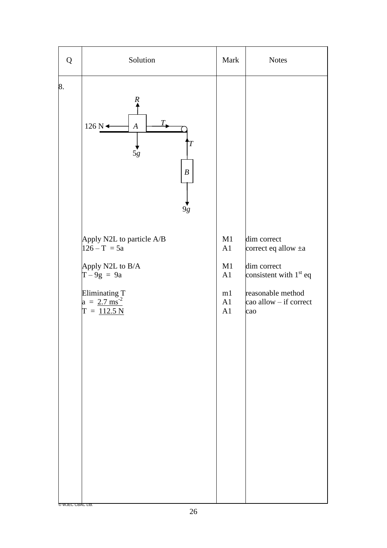| Q                | Solution                                                                                                                                                                                                                                   | Mark                                   | <b>Notes</b>                                                                                                                                |
|------------------|--------------------------------------------------------------------------------------------------------------------------------------------------------------------------------------------------------------------------------------------|----------------------------------------|---------------------------------------------------------------------------------------------------------------------------------------------|
| 8.               | Ŗ<br>Т.<br>$126 N \rightarrow$<br>$\boldsymbol{A}$<br>Τ<br>$5g$<br>$\boldsymbol{B}$<br>9g<br>Apply N2L to particle A/B<br>$126 - T = 5a$<br>Apply N2L to B/A<br>$T-9g = 9a$<br>Eliminating T<br>a = $2.7 \text{ ms}^{-2}$<br>$T = 112.5 N$ | M1<br>A1<br>M1<br>A1<br>m1<br>A1<br>A1 | dim correct<br>correct eq allow $\pm a$<br>dim correct<br>consistent with $1st$ eq<br>reasonable method<br>$\cos$ allow – if correct<br>cao |
| © WJEC CBAC Ltd. |                                                                                                                                                                                                                                            |                                        |                                                                                                                                             |